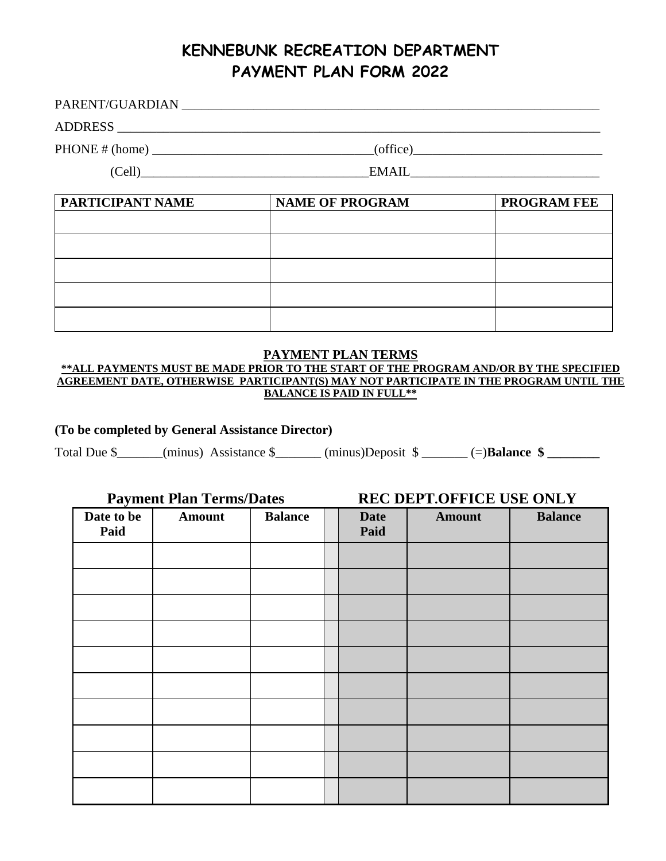# **KENNEBUNK RECREATION DEPARTMENT PAYMENT PLAN FORM 2022**

PARENT/GUARDIAN \_\_\_\_\_\_\_\_\_\_\_\_\_\_\_\_\_\_\_\_\_\_\_\_\_\_\_\_\_\_\_\_\_\_\_\_\_\_\_\_\_\_\_\_\_\_\_\_\_\_\_\_\_\_\_\_\_\_\_\_\_\_\_\_

ADDRESS \_\_\_\_\_\_\_\_\_\_\_\_\_\_\_\_\_\_\_\_\_\_\_\_\_\_\_\_\_\_\_\_\_\_\_\_\_\_\_\_\_\_\_\_\_\_\_\_\_\_\_\_\_\_\_\_\_\_\_\_\_\_\_\_\_\_\_\_\_\_\_\_\_\_

 $PHONE \# (home)$   $(office)$ 

(Cell)\_\_\_\_\_\_\_\_\_\_\_\_\_\_\_\_\_\_\_\_\_\_\_\_\_\_\_\_\_\_\_\_\_\_\_EMAIL\_\_\_\_\_\_\_\_\_\_\_\_\_\_\_\_\_\_\_\_\_\_\_\_\_\_\_\_\_

| PARTICIPANT NAME | <b>NAME OF PROGRAM</b> | <b>PROGRAM FEE</b> |  |  |
|------------------|------------------------|--------------------|--|--|
|                  |                        |                    |  |  |
|                  |                        |                    |  |  |
|                  |                        |                    |  |  |
|                  |                        |                    |  |  |
|                  |                        |                    |  |  |

## **PAYMENT PLAN TERMS**

**\*\*ALL PAYMENTS MUST BE MADE PRIOR TO THE START OF THE PROGRAM AND/OR BY THE SPECIFIED AGREEMENT DATE, OTHERWISE PARTICIPANT(S) MAY NOT PARTICIPATE IN THE PROGRAM UNTIL THE BALANCE IS PAID IN FULL\*\***

### **(To be completed by General Assistance Director)**

Total Due \$\_\_\_\_\_\_(minus) Assistance \$\_\_\_\_\_\_(minus)Deposit  $\frac{1}{2}$   $\qquad$  (=)**Balance \$** 

**Payment Plan Terms/Dates REC DEPT.OFFICE USE ONLY**

| $\cdot$<br>Date to be<br>Paid | Amount | <b>Balance</b> | <b>Date</b><br>Paid | <b>Amount</b> | <b>Balance</b> |
|-------------------------------|--------|----------------|---------------------|---------------|----------------|
|                               |        |                |                     |               |                |
|                               |        |                |                     |               |                |
|                               |        |                |                     |               |                |
|                               |        |                |                     |               |                |
|                               |        |                |                     |               |                |
|                               |        |                |                     |               |                |
|                               |        |                |                     |               |                |
|                               |        |                |                     |               |                |
|                               |        |                |                     |               |                |
|                               |        |                |                     |               |                |